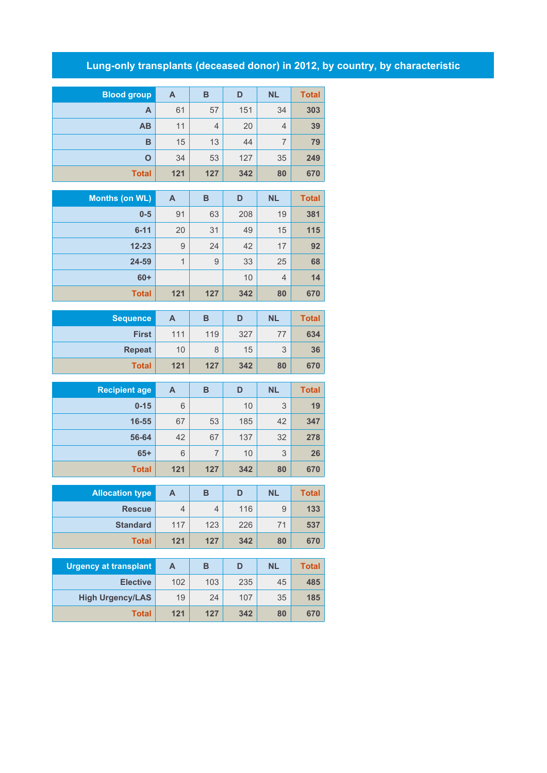## **Lung-only transplants (deceased donor) in 2012, by country, by characteristic**

| <b>Blood group</b> | A   | B              | D   | <b>NL</b> | <b>Total</b> |
|--------------------|-----|----------------|-----|-----------|--------------|
| Α                  | 61  | 57             | 151 | 34        | 303          |
| AB                 | 11  | $\overline{4}$ | 20  | 4         | 39           |
| B                  | 15  | 13             | 44  | 7         | 79           |
| $\mathbf O$        | 34  | 53             | 127 | 35        | 249          |
| <b>Total</b>       | 121 | 127            | 342 | 80        | 670          |

| Months (on WL) | A   | B   | D   | <b>NL</b>      | <b>Total</b> |
|----------------|-----|-----|-----|----------------|--------------|
| $0 - 5$        | 91  | 63  | 208 | 19             | 381          |
| $6 - 11$       | 20  | 31  | 49  | 15             | 115          |
| $12 - 23$      | 9   | 24  | 42  | 17             | 92           |
| 24-59          | 1   | 9   | 33  | 25             | 68           |
| $60+$          |     |     | 10  | $\overline{4}$ | 14           |
| <b>Total</b>   | 121 | 127 | 342 | 80             | 670          |

| Sequence      | Α   | в   | D   | <b>NL</b> | <b>Total</b> |
|---------------|-----|-----|-----|-----------|--------------|
| <b>First</b>  | 111 | 119 | 327 | 77        | 634          |
| <b>Repeat</b> | 10  | 8   | 15  | 3         | 36           |
| <b>Total</b>  | 121 | 127 | 342 | 80        | 670          |

| <b>Recipient age</b> | A   | B   | D   | <b>NL</b> | <b>Total</b> |
|----------------------|-----|-----|-----|-----------|--------------|
| $0 - 15$             | 6   |     | 10  | 3         | 19           |
| 16-55                | 67  | 53  | 185 | 42        | 347          |
| 56-64                | 42  | 67  | 137 | 32        | 278          |
| $65+$                | 6   |     | 10  | 3         | 26           |
| <b>Total</b>         | 121 | 127 | 342 | 80        | 670          |

| <b>Allocation type</b> | A   | в   | D   | <b>NL</b> | <b>Total</b> |
|------------------------|-----|-----|-----|-----------|--------------|
| <b>Rescue</b>          | 4   | 4   | 116 | 9         | 133          |
| <b>Standard</b>        | 117 | 123 | 226 | 71        | 537          |
| <b>Total</b>           | 121 | 127 | 342 | 80        | 670          |

| <b>Urgency at transplant</b> | A   | в   | D   | <b>NL</b> | <b>Total</b> |
|------------------------------|-----|-----|-----|-----------|--------------|
| <b>Elective</b>              | 102 | 103 | 235 | 45        | 485          |
| <b>High Urgency/LAS</b>      | 19  | 24  | 107 | 35        | 185          |
| <b>Total</b>                 | 121 | 127 | 342 | 80        | 670          |